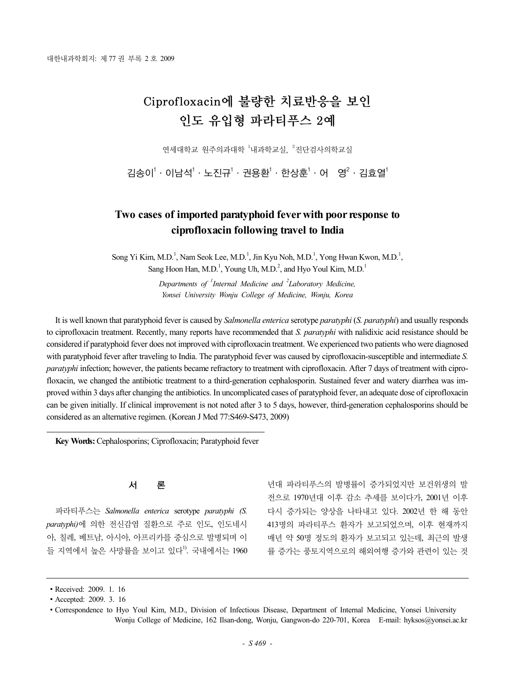# Ciprofloxacin에 불량한 치료반응을 보인 인도 유입형 파라티푸스 2예

연세대학교 원주의과대학 <sup>1</sup>내과학교실, <sup>2</sup>진단검사의학교실

김송이 $^1$  · 이남석 $^1$  · 노진규 $^1$  · 권용환 $^1$  · 한상훈 $^1$  · 어  $^1$  영 $^2$  · 김효열 $^1$ 

# **Two cases of imported paratyphoid fever with poor response to ciprofloxacin following travel to India**

Song Yi Kim, M.D.<sup>1</sup>, Nam Seok Lee, M.D.<sup>1</sup>, Jin Kyu Noh, M.D.<sup>1</sup>, Yong Hwan Kwon, M.D.<sup>1</sup>,

Sang Hoon Han, M.D.<sup>1</sup>, Young Uh, M.D.<sup>2</sup>, and Hyo Youl Kim, M.D.<sup>1</sup>

*Departments of <sup>1</sup> Internal Medicine and <sup>2</sup> Laboratory Medicine, Yonsei University Wonju College of Medicine, Wonju, Korea*

It is well known that paratyphoid fever is caused by *Salmonella enterica* serotype *paratyphi* (*S. paratyphi*) and usually responds to ciprofloxacin treatment. Recently, many reports have recommended that *S. paratyphi* with nalidixic acid resistance should be considered if paratyphoid fever does not improved with ciprofloxacin treatment. We experienced two patients who were diagnosed with paratyphoid fever after traveling to India. The paratyphoid fever was caused by ciprofloxacin-susceptible and intermediate *S. paratyphi* infection; however, the patients became refractory to treatment with ciprofloxacin. After 7 days of treatment with ciprofloxacin, we changed the antibiotic treatment to a third-generation cephalosporin. Sustained fever and watery diarrhea was improved within 3 days after changing the antibiotics. In uncomplicated cases of paratyphoid fever, an adequate dose of ciprofloxacin can be given initially. If clinical improvement is not noted after 3 to 5 days, however, third-generation cephalosporins should be considered as an alternative regimen. (Korean J Med 77:S469-S473, 2009)

**Key Words:** Cephalosporins; Ciprofloxacin; Paratyphoid fever

# 서 론

파라티푸스는 *Salmonella enterica* serotype *paratyphi (S. paratyphi)*에 의한 전신감염 질환으로 주로 인도, 인도네시 아, 칠레, 베트남, 아시아, 아프리카를 중심으로 발병되며 이 들 지역에서 높은 사망률을 보이고 있다<sup>!)</sup>. 국내에서는 1960

년대 파라티푸스의 발병률이 증가되었지만 보건위생의 발 전으로 1970년대 이후 감소 추세를 보이다가, 2001년 이후 다시 증가되는 양상을 나타내고 있다. 2002년 한 해 동안 413명의 파라티푸스 환자가 보고되었으며, 이후 현재까지 매년 약 50명 정도의 환자가 보고되고 있는데, 최근의 발생 률 증가는 풍토지역으로의 해외여행 증가와 관련이 있는 것

<sup>∙</sup>Received: 2009. 1. 16

<sup>∙</sup>Accepted: 2009. 3. 16

<sup>∙</sup>Correspondence to Hyo Youl Kim, M.D., Division of Infectious Disease, Department of Internal Medicine, Yonsei University Wonju College of Medicine, 162 Ilsan-dong, Wonju, Gangwon-do 220-701, Korea E-mail: hyksos@yonsei.ac.kr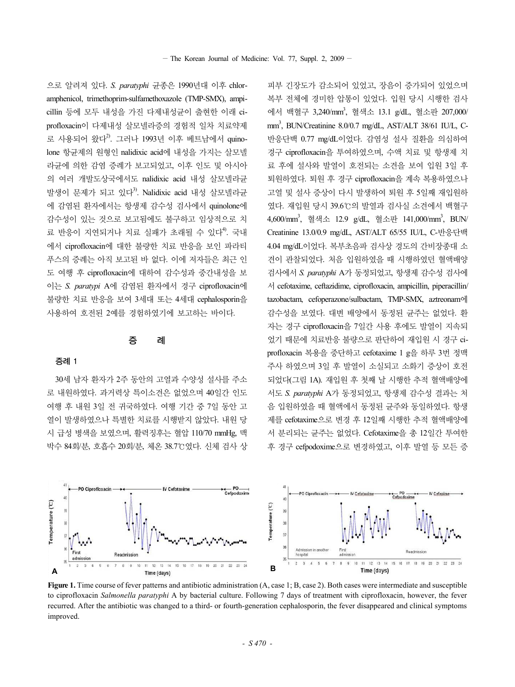으로 알려져 있다. *S. paratyphi* 균종은 1990년대 이후 chloramphenicol, trimethoprim-sulfamethoxazole (TMP-SMX), ampicillin 등에 모두 내성을 가진 다제내성균이 출현한 이래 ciprofloxacin이 다제내성 살모넬라증의 경험적 일차 치료약제 로 사용되어 왔다<sup>2)</sup>. 그러나 1993년 이후 베트남에서 quinolone 항균제의 원형인 nalidixic acid에 내성을 가지는 살모넬 라균에 의한 감염 증례가 보고되었고, 이후 인도 및 아시아 의 여러 개발도상국에서도 nalidixic acid 내성 살모넬라균 발생이 문제가 되고 있다<sup>3)</sup>. Nalidixic acid 내성 살모넬라규 에 감염된 환자에서는 항생제 감수성 검사에서 quinolone에 감수성이 있는 것으로 보고됨에도 불구하고 임상적으로 치 료 반응이 지연되거나 치료 실패가 초래될 수 있다<sup>4)</sup>. 국내 에서 ciprofloxacin에 대한 불량한 치료 반응을 보인 파라티 푸스의 증례는 아직 보고된 바 없다. 이에 저자들은 최근 인 도 여행 후 ciprofloxacin에 대하여 감수성과 중간내성을 보 이는 *S. paratypi* A에 감염된 환자에서 경구 ciprofloxacin에 불량한 치료 반응을 보여 3세대 또는 4세대 cephalosporin을 사용하여 호전된 2예를 경험하였기에 보고하는 바이다.

# 증 례

#### 증례 1

30세 남자 환자가 2주 동안의 고열과 수양성 설사를 주소 로 내원하였다. 과거력상 특이소견은 없었으며 40일간 인도 여행 후 내원 3일 전 귀국하였다. 여행 기간 중 7일 동안 고 열이 발생하였으나 특별한 치료를 시행받지 않았다. 내원 당 시 급성 병색을 보였으며, 활력징후는 혈압 110/70 mmHg, 맥 박수 84회/분, 호흡수 20회/분, 체온 38.7℃였다. 신체 검사 상

피부 긴장도가 감소되어 있었고, 장음이 증가되어 있었으며 복부 전체에 경미한 압통이 있었다. 입원 당시 시행한 검사 에서 백혈구 3,240/mm3 , 혈색소 13.1 g/dL, 혈소판 207,000/ mm3 , BUN/Creatinine 8.0/0.7 mg/dL, AST/ALT 38/61 IU/L, C-반응단백 0.77 mg/dL이었다. 감염성 설사 질환을 의심하여 경구 ciprofloxacin을 투여하였으며, 수액 치료 및 항생제 치 료 후에 설사와 발열이 호전되는 소견을 보여 입원 3일 후 퇴원하였다. 퇴원 후 경구 ciprofloxacin을 계속 복용하였으나 고열 및 설사 증상이 다시 발생하여 퇴원 후 5일째 재입원하 였다. 재입원 당시 39.6℃의 발열과 검사실 소견에서 백혈구 4,600/mm<sup>3</sup>, 혈색소 12.9 g/dL, 혈소판 141,000/mm<sup>3</sup>, BUN/ Creatinine 13.0/0.9 mg/dL, AST/ALT 65/55 IU/L, C-반응단백 4.04 mg/dL이었다. 복부초음파 검사상 경도의 간비장종대 소 견이 관찰되었다. 처음 입원하였을 때 시행하였던 혈액배양 검사에서 *S. paratyphi* A가 동정되었고, 항생제 감수성 검사에 서 cefotaxime, ceftazidime, ciprofloxacin, ampicillin, piperacillin/ tazobactam, cefoperazone/sulbactam, TMP-SMX, aztreonam에 감수성을 보였다. 대변 배양에서 동정된 균주는 없었다. 환 자는 경구 ciprofloxacin을 7일간 사용 후에도 발열이 지속되 었기 때문에 치료반응 불량으로 판단하여 재입원 시 경구 ciprofloxacin 복용을 중단하고 cefotaxime 1 g을 하루 3번 정맥 주사 하였으며 3일 후 발열이 소실되고 소화기 증상이 호전 되었다(그림 1A). 재입원 후 첫째 날 시행한 추적 혈액배양에 서도 *S. paratyphi* A가 동정되었고, 항생제 감수성 결과는 처 음 입원하였을 때 혈액에서 동정된 균주와 동일하였다. 항생 제를 cefotaxime으로 변경 후 12일째 시행한 추적 혈액배양에 서 분리되는 균주는 없었다. Cefotaxime을 총 12일간 투여한 후 경구 cefpodoxime으로 변경하였고, 이후 발열 등 모든 증



**Figure 1.** Time course of fever patterns and antibiotic administration (A, case 1; B, case 2). Both cases were intermediate and susceptible to ciprofloxacin *Salmonella paratyphi* A by bacterial culture. Following 7 days of treatment with ciprofloxacin, however, the fever recurred. After the antibiotic was changed to a third- or fourth-generation cephalosporin, the fever disappeared and clinical symptoms improved.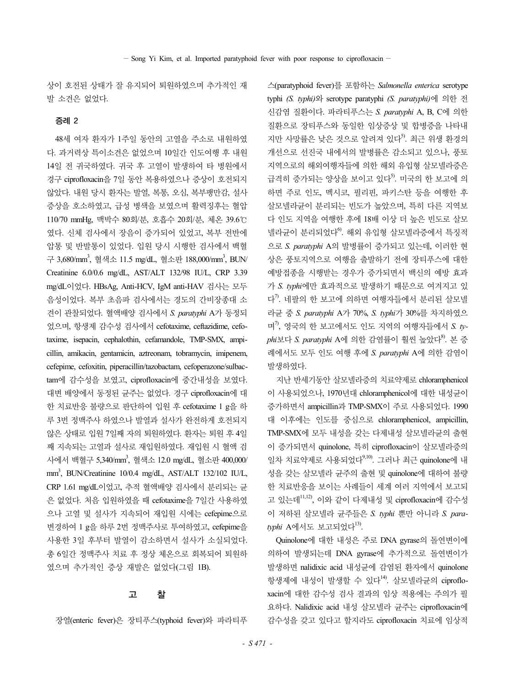상이 호전된 상태가 잘 유지되어 퇴원하였으며 추가적인 재 발 소견은 없었다.

#### 증례 2

48세 여자 환자가 1주일 동안의 고열을 주소로 내원하였 다. 과거력상 특이소견은 없었으며 10일간 인도여행 후 내원 14일 전 귀국하였다. 귀국 후 고열이 발생하여 타 병원에서 경구 ciprofloxacin을 7일 동안 복용하였으나 증상이 호전되지 않았다. 내원 당시 환자는 발열, 복통, 오심, 복부팽만감, 설사 증상을 호소하였고, 급성 병색을 보였으며 활력징후는 혈압 110/70 mmHg, 맥박수 80회/분, 호흡수 20회/분, 체온 39.6℃ 였다. 신체 검사에서 장음이 증가되어 있었고, 복부 전반에 압통 및 반발통이 있었다. 입원 당시 시행한 검사에서 백혈 구 3,680/mm<sup>3</sup>, 혈색소 11.5 mg/dL, 혈소판 188,000/mm<sup>3</sup>, BUN/ Creatinine 6.0/0.6 mg/dL, AST/ALT 132/98 IU/L, CRP 3.39 mg/dL이었다. HBsAg, Anti-HCV, IgM anti-HAV 검사는 모두 음성이었다. 복부 초음파 검사에서는 경도의 간비장종대 소 견이 관찰되었다. 혈액배양 검사에서 *S. paratyphi* A가 동정되 었으며, 항생제 감수성 검사에서 cefotaxime, ceftazidime, cefotaxime, isepacin, cephalothin, cefamandole, TMP-SMX, ampicillin, amikacin, gentamicin, aztreonam, tobramycin, imipenem, cefepime, cefoxitin, piperacillin/tazobactam, cefoperazone/sulbactam에 감수성을 보였고, ciprofloxacin에 중간내성을 보였다. 대변 배양에서 동정된 균주는 없었다. 경구 ciprofloxacin에 대 한 치료반응 불량으로 판단하여 입원 후 cefotaxime 1 g을 하 루 3번 정맥주사 하였으나 발열과 설사가 완전하게 호전되지 않은 상태로 입원 7일째 자의 퇴원하였다. 환자는 퇴원 후 4일 째 지속되는 고열과 설사로 재입원하였다. 재입원 시 혈액 검 사에서 백혈구 5,340/mm<sup>3</sup>, 혈색소 12.0 mg/dL, 혈소판 400,000/ mm3 , BUN/Creatinine 10/0.4 mg/dL, AST/ALT 132/102 IU/L, CRP 1.61 mg/dL이었고, 추적 혈액배양 검사에서 분리되는 균 은 없었다. 처음 입원하였을 때 cefotaxime을 7일간 사용하였 으나 고열 및 설사가 지속되어 재입원 시에는 cefepime으로 변경하여 1 g을 하루 2번 정맥주사로 투여하였고, cefepime을 사용한 3일 후부터 발열이 감소하면서 설사가 소실되었다. 총 6일간 정맥주사 치료 후 정상 체온으로 회복되어 퇴원하 였으며 추가적인 증상 재발은 없었다(그림 1B).

# 고 찰

장열(enteric fever)은 장티푸스(typhoid fever)와 파라티푸

스(paratyphoid fever)를 포함하는 *Salmonella enterica* serotype typhi *(S. typhi)*와 serotype paratyphi *(S. paratyphi)*에 의한 전 신감염 질환이다. 파라티푸스는 *S. paratyphi* A, B, C에 의한 질환으로 장티푸스와 동일한 임상증상 및 합병증을 나타내 지만 사망률은 낮은 것으로 알려져 있다<sup>5</sup>. 최근 위생 환경의 개선으로 선진국 내에서의 발병률은 감소되고 있으나, 풍토 지역으로의 해외여행자들에 의한 해외 유입형 살모넬라증은 급격히 증가되는 양상을 보이고 있다<sup>5)</sup>. 미국의 한 보고에 의 하면 주로 인도, 멕시코, 필리핀, 파키스탄 등을 여행한 후 살모넬라균이 분리되는 빈도가 높았으며, 특히 다른 지역보 다 인도 지역을 여행한 후에 18배 이상 더 높은 빈도로 살모 넬라균이 분리되었다<sup>6</sup>. 해외 유입형 살모넬라증에서 특징적 으로 *S. paratyphi* A의 발병률이 증가되고 있는데, 이러한 현 상은 풍토지역으로 여행을 출발하기 전에 장티푸스에 대한 예방접종을 시행받는 경우가 증가되면서 백신의 예방 효과 가 *S. typhi*에만 효과적으로 발생하기 때문으로 여겨지고 있 다<sup>7)</sup>. 네팔의 한 보고에 의하면 여행자들에서 분리된 살모넬 라균 중 *S. paratyphi* A가 70%, *S. typhi*가 30%를 차지하였으 며7) , 영국의 한 보고에서도 인도 지역의 여행자들에서 *S. typhi*보다 *S. paratyphi* A에 의한 감염률이 훨씬 높았다8) . 본 증 례에서도 모두 인도 여행 후에 *S. paratyphi* A에 의한 감염이 발생하였다.

지난 반세기동안 살모넬라증의 치료약제로 chloramphenicol 이 사용되었으나, 1970년대 chloramphenicol에 대한 내성균이 증가하면서 ampicillin과 TMP-SMX이 주로 사용되었다. 1990 대 이후에는 인도를 중심으로 chloramphenicol, ampicillin, TMP-SMX에 모두 내성을 갖는 다제내성 살모넬라균의 출현 이 증가되면서 quinolone, 특히 ciprofloxacin이 살모넬라증의 일차 치료약제로 사용되었다<sup>9,10)</sup>. 그러나 최근 quinolone에 내 성을 갖는 살모넬라 균주의 출현 및 quinolone에 대하여 불량 한 치료반응을 보이는 사례들이 세계 여러 지역에서 보고되 고 있는데11,12), 이와 같이 다제내성 및 ciprofloxacin에 감수성 이 저하된 살모넬라 균주들은 *S. typhi* 뿐만 아니라 *S. para*typhi A에서도 보고되었다<sup>13)</sup>.

Quinolone에 대한 내성은 주로 DNA gyrase의 돌연변이에 의하여 발생되는데 DNA gyrase에 추가적으로 돌연변이가 발생하면 nalidixic acid 내성균에 감염된 환자에서 quinolone 항생제에 내성이 발생할 수 있다<sup>14)</sup>. 살모넬라균의 ciprofloxacin에 대한 감수성 검사 결과의 임상 적용에는 주의가 필 요하다. Nalidixic acid 내성 살모넬라 균주는 ciprofloxacin에 감수성을 갖고 있다고 할지라도 ciprofloxacin 치료에 임상적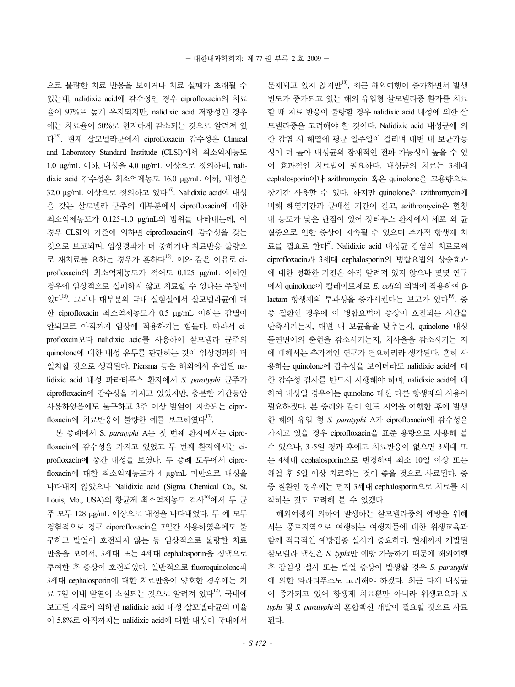으로 불량한 치료 반응을 보이거나 치료 실패가 초래될 수 있는데, nalidixic acid에 감수성인 경우 ciprofloxacin의 치료 율이 97%로 높게 유지되지만, nalidixic acid 저항성인 경우 에는 치료율이 50%로 현저하게 감소되는 것으로 알려져 있 다15). 현재 살모넬라균에서 ciprofloxacin 감수성은 Clinical and Laboratory Standard Institude (CLSI)에서 최소억제농도 1.0 µg/mL 이하, 내성을 4.0 µg/mL 이상으로 정의하며, nalidixic acid 감수성은 최소억제농도 16.0 µg/mL 이하, 내성을 32.0 μg/mL 이상으로 정의하고 있다<sup>16</sup>. Nalidixic acid에 내성 을 갖는 살모넬라 균주의 대부분에서 ciprofloxacin에 대한 최소억제농도가 0.125~1.0 µg/mL의 범위를 나타내는데, 이 경우 CLSI의 기준에 의하면 ciprofloxacin에 감수성을 갖는 것으로 보고되며, 임상경과가 더 중하거나 치료반응 불량으 로 재치료를 요하는 경우가 흔하다<sup>15</sup>. 이와 같은 이유로 ciprofloxacin의 최소억제농도가 적어도 0.125 µg/mL 이하인 경우에 임상적으로 실패하지 않고 치료할 수 있다는 주장이 있다15). 그러나 대부분의 국내 실험실에서 살모넬라균에 대 한 ciprofloxacin 최소억제농도가 0.5 µg/mL 이하는 감별이 안되므로 아직까지 임상에 적용하기는 힘들다. 따라서 ciprofloxcin보다 nalidixic acid를 사용하여 살모넬라 균주의 quinolone에 대한 내성 유무를 판단하는 것이 임상경과와 더 일치할 것으로 생각된다. Piersma 등은 해외에서 유입된 nalidixic acid 내성 파라티푸스 환자에서 *S. paratyphi* 균주가 ciprofloxacin에 감수성을 가지고 있었지만, 충분한 기간동안 사용하였음에도 불구하고 3주 이상 발열이 지속되는 ciprofloxacin에 치료반응이 불량한 예를 보고하였다<sup>17)</sup>.

본 증례에서 S. *paratyphi* A는 첫 번째 환자에서는 ciprofloxacin에 감수성을 가지고 있었고 두 번째 환자에서는 ciprofloxacin에 중간 내성을 보였다. 두 증례 모두에서 ciprofloxacin에 대한 최소억제농도가 4 µg/mL 미만으로 내성을 나타내지 않았으나 Nalidixic acid (Sigma Chemical Co., St. Louis, Mo., USA)의 항규제 최소억제농도 검사<sup>16)</sup>에서 두 규 주 모두 128 µg/mL 이상으로 내성을 나타내었다. 두 예 모두 경험적으로 경구 ciporofloxacin을 7일간 사용하였음에도 불 구하고 발열이 호전되지 않는 등 임상적으로 불량한 치료 반응을 보여서, 3세대 또는 4세대 cephalosporin을 정맥으로 투여한 후 증상이 호전되었다. 일반적으로 fluoroquinolone과 3세대 cephalosporin에 대한 치료반응이 양호한 경우에는 치 료 7일 이내 발열이 소실되는 것으로 알려져 있다<sup>12</sup>. 국내에 보고된 자료에 의하면 nalidixic acid 내성 살모넬라균의 비율 이 5.8%로 아직까지는 nalidixic acid에 대한 내성이 국내에서

문제되고 있지 않지만18), 최근 해외여행이 증가하면서 발생 빈도가 증가되고 있는 해외 유입형 살모넬라증 환자를 치료 할 때 치료 반응이 불량할 경우 nalidixic acid 내성에 의한 살 모넬라증을 고려해야 할 것이다. Nalidixic acid 내성균에 의 한 감염 시 해열에 평균 일주일이 걸리며 대변 내 보균가능 성이 더 높아 내성균의 잠재적인 전파 가능성이 높을 수 있 어 효과적인 치료법이 필요하다. 내성균의 치료는 3세대 cephalosporin이나 azithromycin 혹은 quinolone을 고용량으로 장기간 사용할 수 있다. 하지만 quinolone은 azithromycin에 비해 해열기간과 균배설 기간이 길고, azithromycin은 혈청 내 농도가 낮은 단점이 있어 장티푸스 환자에서 세포 외 균 혈증으로 인한 증상이 지속될 수 있으며 추가적 항생제 치 료를 필요로 한다<sup>4)</sup>. Nalidixic acid 내성균 감염의 치료로써 ciprofloxacin과 3세대 cephalosporin의 병합요법의 상승효과 에 대한 정확한 기전은 아직 알려져 있지 않으나 몇몇 연구 에서 quinolone이 킬레이트제로 *E. coli*의 외벽에 작용하여 βlactam 항생제의 투과성을 증가시키다는 보고가 있다<sup>19)</sup>. 중 증 질환인 경우에 이 병합요법이 증상이 호전되는 시간을 단축시키는지, 대변 내 보균율을 낮추는지, quinolone 내성 돌연변이의 출현을 감소시키는지, 치사율을 감소시키는 지 에 대해서는 추가적인 연구가 필요하리라 생각된다. 흔히 사 용하는 quinolone에 감수성을 보이더라도 nalidixic acid에 대 한 감수성 검사를 반드시 시행해야 하며, nalidixic acid에 대 하여 내성일 경우에는 quinolone 대신 다른 항생제의 사용이 필요하겠다. 본 증례와 같이 인도 지역을 여행한 후에 발생 한 해외 유입 형 *S. paratyphi* A가 ciprofloxacin에 감수성을 가지고 있을 경우 ciprofloxacin을 표준 용량으로 사용해 볼 수 있으나, 3~5일 경과 후에도 치료반응이 없으면 3세대 또 는 4세대 cephalosporin으로 변경하여 최소 10일 이상 또는 해열 후 5일 이상 치료하는 것이 좋을 것으로 사료된다. 중 증 질환인 경우에는 먼저 3세대 cephalosporin으로 치료를 시 작하는 것도 고려해 볼 수 있겠다.

해외여행에 의하여 발생하는 살모넬라증의 예방을 위해 서는 풍토지역으로 여행하는 여행자들에 대한 위생교육과 함께 적극적인 예방접종 실시가 중요하다. 현재까지 개발된 살모넬라 백신은 *S. typhi*만 예방 가능하기 때문에 해외여행 후 감염성 설사 또는 발열 증상이 발생할 경우 *S. paratyphi* 에 의한 파라티푸스도 고려해야 하겠다. 최근 다제 내성균 이 증가되고 있어 항생제 치료뿐만 아니라 위생교육과 *S. typhi* 및 *S. paratyphi*의 혼합백신 개발이 필요할 것으로 사료 된다.